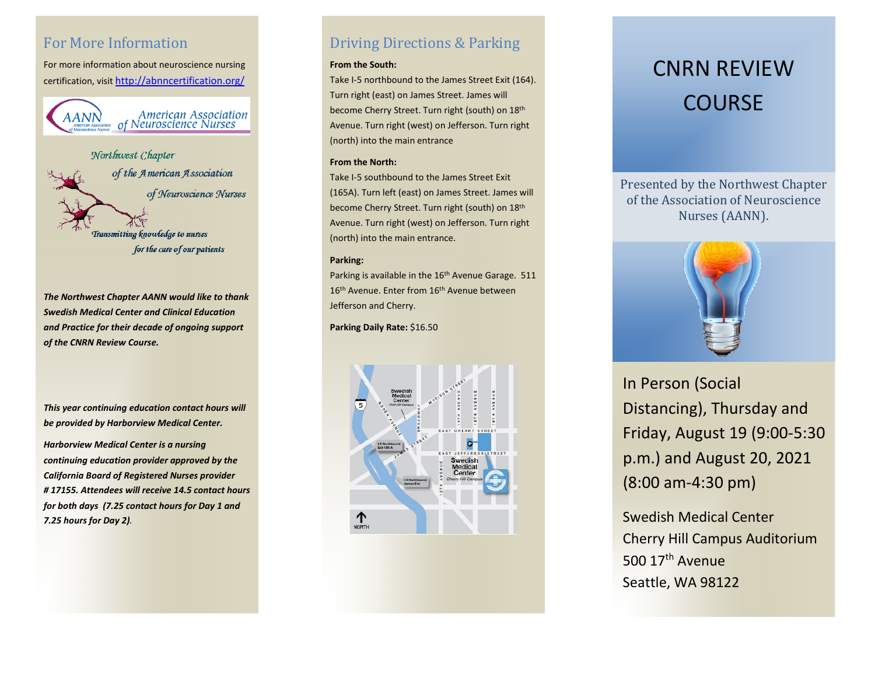# For More Information

For more information about neuroscience nursing certification, visi[t http://abnncertification.org/](http://abnncertification.org/)

American Association<br>of Neuroscience Nurses AANN

Northwest Chapter of the American Association of Neuroscience Nurses **Transmitting knowledge to nurses** for the care of our patients

*The Northwest Chapter AANN would like to thank Swedish Medical Center and Clinical Education and Practice for their decade of ongoing support of the CNRN Review Course.* 

*This year continuing education contact hours will be provided by Harborview Medical Center.* 

*Harborview Medical Center is a nursing continuing education provider approved by the California Board of Registered Nurses provider # 17155. Attendees will receive 14.5 contact hours for both days (7.25 contact hours for Day 1 and 7.25 hours for Day 2).*

# Driving Directions & Parking

## **From the South:**

Take I-5 northbound to the James Street Exit (164). Turn right (east) on James Street. James will become Cherry Street. Turn right (south) on 18th Avenue. Turn right (west) on Jefferson. Turn right (north) into the main entrance

#### **From the North:**

Take I-5 southbound to the James Street Exit (165A). Turn left (east) on James Street. James will become Cherry Street. Turn right (south) on 18th Avenue. Turn right (west) on Jefferson. Turn right (north) into the main entrance.

## **Parking:**

Parking is available in the 16<sup>th</sup> Avenue Garage. 511 16<sup>th</sup> Avenue. Enter from 16<sup>th</sup> Avenue between Jefferson and Cherry.

**Parking Daily Rate:** \$16.50



# CNRN REVIEW COURSE

Presented by the Northwest Chapter of the Association of Neuroscience Nurses (AANN).



In Person (Social Distancing), Thursday and Friday, August 19 (9:00-5:30 p.m.) and August 20, 2021 (8:00 am-4:30 pm)

Swedish Medical Center Cherry Hill Campus Auditorium 500 17th Avenue Seattle, WA 98122